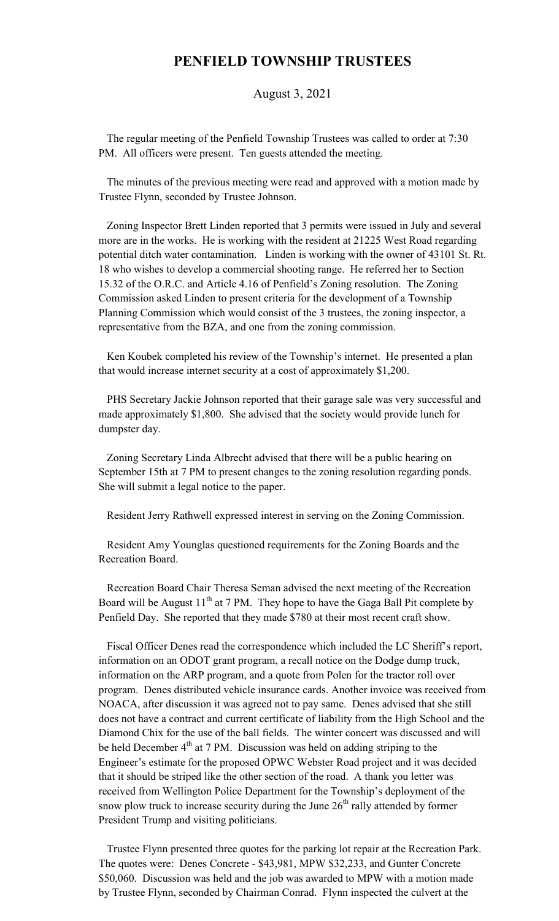## **PENFIELD TOWNSHIP TRUSTEES**

## August 3, 2021

 The regular meeting of the Penfield Township Trustees was called to order at 7:30 PM. All officers were present. Ten guests attended the meeting.

 The minutes of the previous meeting were read and approved with a motion made by Trustee Flynn, seconded by Trustee Johnson.

 Zoning Inspector Brett Linden reported that 3 permits were issued in July and several more are in the works. He is working with the resident at 21225 West Road regarding potential ditch water contamination. Linden is working with the owner of 43101 St. Rt. 18 who wishes to develop a commercial shooting range. He referred her to Section 15.32 of the O.R.C. and Article 4.16 of Penfield's Zoning resolution. The Zoning Commission asked Linden to present criteria for the development of a Township Planning Commission which would consist of the 3 trustees, the zoning inspector, a representative from the BZA, and one from the zoning commission.

 Ken Koubek completed his review of the Township's internet. He presented a plan that would increase internet security at a cost of approximately \$1,200.

 PHS Secretary Jackie Johnson reported that their garage sale was very successful and made approximately \$1,800. She advised that the society would provide lunch for dumpster day.

 Zoning Secretary Linda Albrecht advised that there will be a public hearing on September 15th at 7 PM to present changes to the zoning resolution regarding ponds. She will submit a legal notice to the paper.

Resident Jerry Rathwell expressed interest in serving on the Zoning Commission.

 Resident Amy Younglas questioned requirements for the Zoning Boards and the Recreation Board.

 Recreation Board Chair Theresa Seman advised the next meeting of the Recreation Board will be August  $11<sup>th</sup>$  at 7 PM. They hope to have the Gaga Ball Pit complete by Penfield Day. She reported that they made \$780 at their most recent craft show.

 Fiscal Officer Denes read the correspondence which included the LC Sheriff's report, information on an ODOT grant program, a recall notice on the Dodge dump truck, information on the ARP program, and a quote from Polen for the tractor roll over program. Denes distributed vehicle insurance cards. Another invoice was received from NOACA, after discussion it was agreed not to pay same. Denes advised that she still does not have a contract and current certificate of liability from the High School and the Diamond Chix for the use of the ball fields. The winter concert was discussed and will be held December  $4<sup>th</sup>$  at 7 PM. Discussion was held on adding striping to the Engineer's estimate for the proposed OPWC Webster Road project and it was decided that it should be striped like the other section of the road. A thank you letter was received from Wellington Police Department for the Township's deployment of the snow plow truck to increase security during the June  $26<sup>th</sup>$  rally attended by former President Trump and visiting politicians.

 Trustee Flynn presented three quotes for the parking lot repair at the Recreation Park. The quotes were: Denes Concrete - \$43,981, MPW \$32,233, and Gunter Concrete \$50,060. Discussion was held and the job was awarded to MPW with a motion made by Trustee Flynn, seconded by Chairman Conrad. Flynn inspected the culvert at the